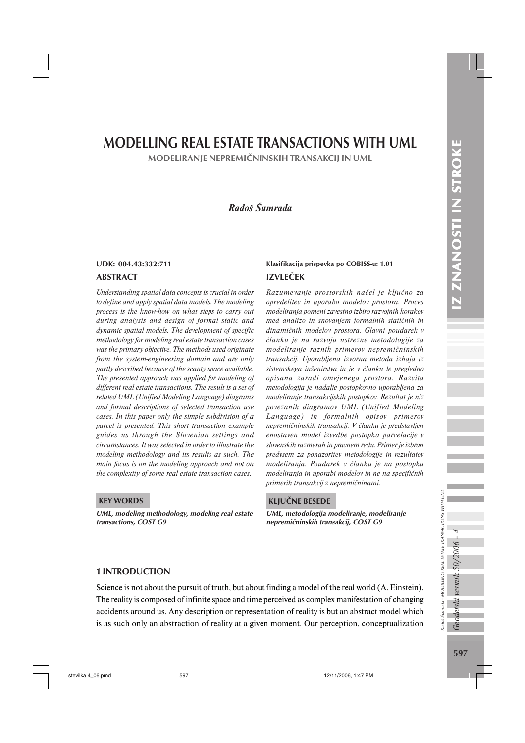# MODELLING REAL ESTATE TRANSACTIONS WITH UML

MODELIRANJE NEPREMIČNINSKIH TRANSAKCIJ IN UML

# *Radoš Šumrada*

#### ABSTRACT

*Understanding spatial data concepts is crucial in order to define and apply spatial data models. The modeling process is the know-how on what steps to carry out during analysis and design of formal static and dynamic spatial models. The development of specific methodology for modeling real estate transaction cases was the primary objective. The methods used originate from the system-engineering domain and are only partly described because of the scanty space available. The presented approach was applied for modeling of different real estate transactions. The result is a set of related UML (Unified Modeling Language) diagrams and formal descriptions of selected transaction use cases. In this paper only the simple subdivision of a parcel is presented. This short transaction example guides us through the Slovenian settings and circumstances. It was selected in order to illustrate the modeling methodology and its results as such. The main focus is on the modeling approach and not on the complexity of some real estate transaction cases.*

#### KEY WORDS

UML, modeling methodology, modeling real estate transactions, COST G9

# IZVLEČEK UDK: 004.43:332:711 Klasifikacija prispevka po COBISS-u: 1.01

*Razumevanje prostorskih načel je ključno za opredelitev in uporabo modelov prostora. Proces modeliranja pomeni zavestno izbiro razvojnih korakov med analizo in snovanjem formalnih statičnih in dinamičnih modelov prostora. Glavni poudarek v članku je na razvoju ustrezne metodologije za modeliranje raznih primerov nepremičninskih transakcij. Uporabljena izvorna metoda izhaja iz sistemskega inženirstva in je v članku le pregledno opisana zaradi omejenega prostora. Razvita metodologija je nadalje postopkovno uporabljena za modeliranje transakcijskih postopkov. Rezultat je niz povezanih diagramov UML (Unified Modeling Language) in formalnih opisov primerov nepremičninskih transakcij. V članku je predstavljen enostaven model izvedbe postopka parcelacije v slovenskih razmerah in pravnem redu. Primer je izbran predvsem za ponazoritev metodologije in rezultatov modeliranja. Poudarek v članku je na postopku modeliranja in uporabi modelov in ne na specifičnih primerih transakcij z nepremičninami.*

#### KLJUČNE BESEDE

UML, metodologija modeliranje, modeliranje nepremičninskih transakcij, COST G9

#### 1 INTRODUCTION

Science is not about the pursuit of truth, but about finding a model of the real world (A. Einstein). The reality is composed of infinite space and time perceived as complex manifestation of changing accidents around us. Any description or representation of reality is but an abstract model which is as such only an abstraction of reality at a given moment. Our perception, conceptualization Geodetski vestnik 50/2006

Radoš Šumrada - MODELLING REAL ESTATE TRANSACTIONS WITH UML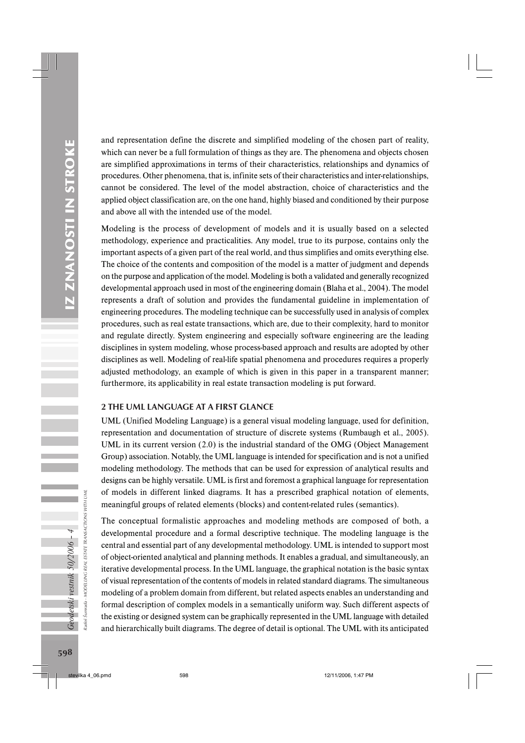and representation define the discrete and simplified modeling of the chosen part of reality, which can never be a full formulation of things as they are. The phenomena and objects chosen are simplified approximations in terms of their characteristics, relationships and dynamics of procedures. Other phenomena, that is, infinite sets of their characteristics and inter-relationships, cannot be considered. The level of the model abstraction, choice of characteristics and the applied object classification are, on the one hand, highly biased and conditioned by their purpose and above all with the intended use of the model.

Modeling is the process of development of models and it is usually based on a selected methodology, experience and practicalities. Any model, true to its purpose, contains only the important aspects of a given part of the real world, and thus simplifies and omits everything else. The choice of the contents and composition of the model is a matter of judgment and depends on the purpose and application of the model. Modeling is both a validated and generally recognized developmental approach used in most of the engineering domain (Blaha et al., 2004). The model represents a draft of solution and provides the fundamental guideline in implementation of engineering procedures. The modeling technique can be successfully used in analysis of complex procedures, such as real estate transactions, which are, due to their complexity, hard to monitor and regulate directly. System engineering and especially software engineering are the leading disciplines in system modeling, whose process-based approach and results are adopted by other disciplines as well. Modeling of real-life spatial phenomena and procedures requires a properly adjusted methodology, an example of which is given in this paper in a transparent manner; furthermore, its applicability in real estate transaction modeling is put forward.

# 2 THE UML LANGUAGE AT A FIRST GLANCE

UML (Unified Modeling Language) is a general visual modeling language, used for definition, representation and documentation of structure of discrete systems (Rumbaugh et al., 2005). UML in its current version (2.0) is the industrial standard of the OMG (Object Management Group) association. Notably, the UML language is intended for specification and is not a unified modeling methodology. The methods that can be used for expression of analytical results and designs can be highly versatile. UML is first and foremost a graphical language for representation of models in different linked diagrams. It has a prescribed graphical notation of elements, meaningful groups of related elements (blocks) and content-related rules (semantics).

The conceptual formalistic approaches and modeling methods are composed of both, a developmental procedure and a formal descriptive technique. The modeling language is the central and essential part of any developmental methodology. UML is intended to support most of object-oriented analytical and planning methods. It enables a gradual, and simultaneously, an iterative developmental process. In the UML language, the graphical notation is the basic syntax of visual representation of the contents of models in related standard diagrams. The simultaneous modeling of a problem domain from different, but related aspects enables an understanding and formal description of complex models in a semantically uniform way. Such different aspects of the existing or designed system can be graphically represented in the UML language with detailed and hierarchically built diagrams. The degree of detail is optional. The UML with its anticipated

Radoš Šumrada - MODELLING REAL ESTATE TRANSACTIONS WITH UML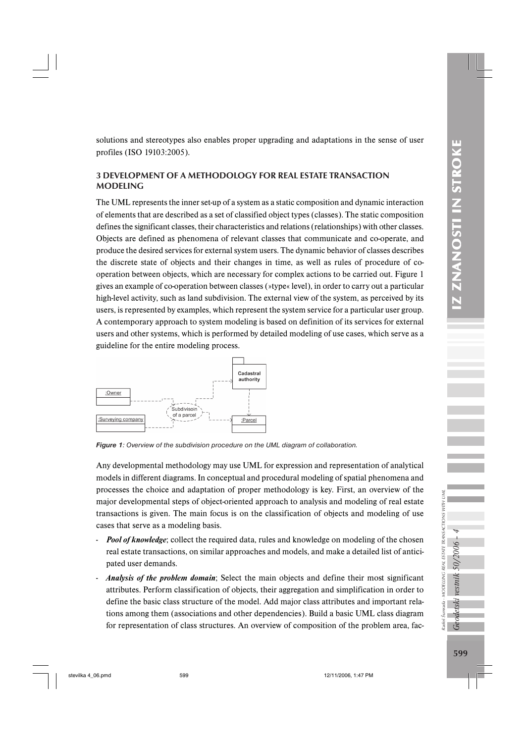solutions and stereotypes also enables proper upgrading and adaptations in the sense of user profiles (ISO 19103:2005).

# 3 DEVELOPMENT OF A METHODOLOGY FOR REAL ESTATE TRANSACTION MODELING

The UML represents the inner set-up of a system as a static composition and dynamic interaction of elements that are described as a set of classified object types (classes). The static composition defines the significant classes, their characteristics and relations (relationships) with other classes. Objects are defined as phenomena of relevant classes that communicate and co-operate, and produce the desired services for external system users. The dynamic behavior of classes describes the discrete state of objects and their changes in time, as well as rules of procedure of cooperation between objects, which are necessary for complex actions to be carried out. Figure 1 gives an example of co-operation between classes (»type« level), in order to carry out a particular high-level activity, such as land subdivision. The external view of the system, as perceived by its users, is represented by examples, which represent the system service for a particular user group. A contemporary approach to system modeling is based on definition of its services for external users and other systems, which is performed by detailed modeling of use cases, which serve as a guideline for the entire modeling process.



*Figure 1: Overview of the subdivision procedure on the UML diagram of collaboration.*

Any developmental methodology may use UML for expression and representation of analytical models in different diagrams. In conceptual and procedural modeling of spatial phenomena and processes the choice and adaptation of proper methodology is key. First, an overview of the major developmental steps of object-oriented approach to analysis and modeling of real estate transactions is given. The main focus is on the classification of objects and modeling of use cases that serve as a modeling basis.

- *Pool of knowledge*; collect the required data, rules and knowledge on modeling of the chosen real estate transactions, on similar approaches and models, and make a detailed list of anticipated user demands.
- *Analysis of the problem domain*; Select the main objects and define their most significant attributes. Perform classification of objects, their aggregation and simplification in order to define the basic class structure of the model. Add major class attributes and important relations among them (associations and other dependencies). Build a basic UML class diagram for representation of class structures. An overview of composition of the problem area, fac-

Geodetski vestnik 50/2006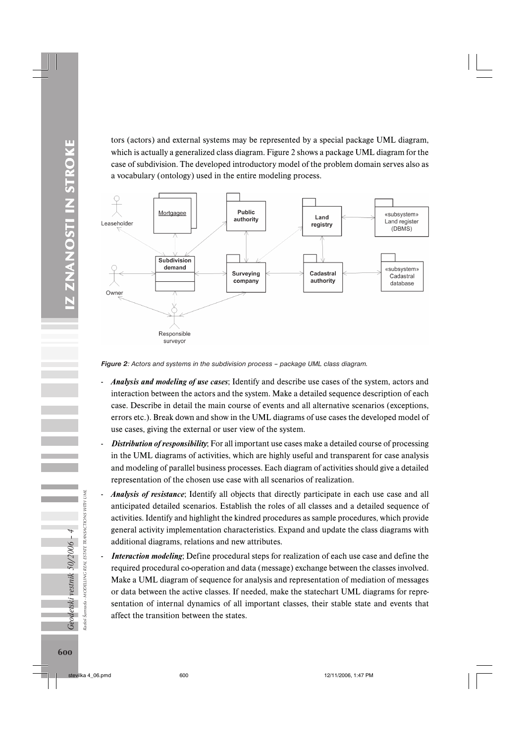IZ ZNANOSTI IN STROKE 600*Geodetski vestnik 50/2006 – 4* IZ ZNANOSTI IN STROKE tors (actors) and external systems may be represented by a special package UML diagram, which is actually a generalized class diagram. Figure 2 shows a package UML diagram for the case of subdivision. The developed introductory model of the problem domain serves also as a vocabulary (ontology) used in the entire modeling process.



*Figure 2: Actors and systems in the subdivision process – package UML class diagram.*

- *Analysis and modeling of use cases*; Identify and describe use cases of the system, actors and interaction between the actors and the system. Make a detailed sequence description of each case. Describe in detail the main course of events and all alternative scenarios (exceptions, errors etc.). Break down and show in the UML diagrams of use cases the developed model of use cases, giving the external or user view of the system.
- *Distribution of responsibility*; For all important use cases make a detailed course of processing in the UML diagrams of activities, which are highly useful and transparent for case analysis and modeling of parallel business processes. Each diagram of activities should give a detailed representation of the chosen use case with all scenarios of realization.
- *Analysis of resistance*; Identify all objects that directly participate in each use case and all anticipated detailed scenarios. Establish the roles of all classes and a detailed sequence of activities. Identify and highlight the kindred procedures as sample procedures, which provide general activity implementation characteristics. Expand and update the class diagrams with additional diagrams, relations and new attributes.
- *Interaction modeling*; Define procedural steps for realization of each use case and define the required procedural co-operation and data (message) exchange between the classes involved. Make a UML diagram of sequence for analysis and representation of mediation of messages or data between the active classes. If needed, make the statechart UML diagrams for representation of internal dynamics of all important classes, their stable state and events that affect the transition between the states.

Radoš Šumrada - MODELLING REAL ESTATE TRANSACTIONS WITH UML

ada - MODELLING

Šumr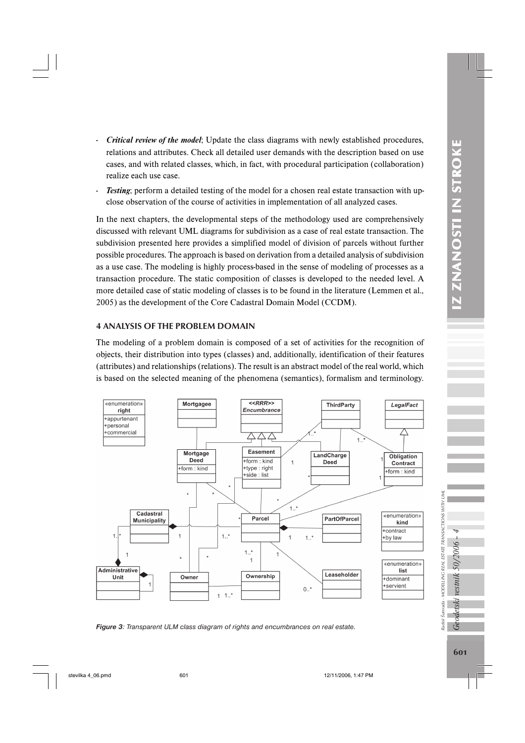- 
- *Critical review of the model*; Update the class diagrams with newly established procedures, relations and attributes. Check all detailed user demands with the description based on use cases, and with related classes, which, in fact, with procedural participation (collaboration) realize each use case.
- *Testing*; perform a detailed testing of the model for a chosen real estate transaction with upclose observation of the course of activities in implementation of all analyzed cases.

In the next chapters, the developmental steps of the methodology used are comprehensively discussed with relevant UML diagrams for subdivision as a case of real estate transaction. The subdivision presented here provides a simplified model of division of parcels without further possible procedures. The approach is based on derivation from a detailed analysis of subdivision as a use case. The modeling is highly process-based in the sense of modeling of processes as a transaction procedure. The static composition of classes is developed to the needed level. A more detailed case of static modeling of classes is to be found in the literature (Lemmen et al., 2005) as the development of the Core Cadastral Domain Model (CCDM).

# 4 ANALYSIS OF THE PROBLEM DOMAIN

The modeling of a problem domain is composed of a set of activities for the recognition of objects, their distribution into types (classes) and, additionally, identification of their features (attributes) and relationships (relations). The result is an abstract model of the real world, which is based on the selected meaning of the phenomena (semantics), formalism and terminology.



*Figure 3 : Transparent ULM class diagram of rights and encumbrances on real estate.*

Radoš Šumrada - MODELLING REAL ESTATE TRANSACTIONS WITH UML

odetski vestnik 50/2006

 $\tilde{J}$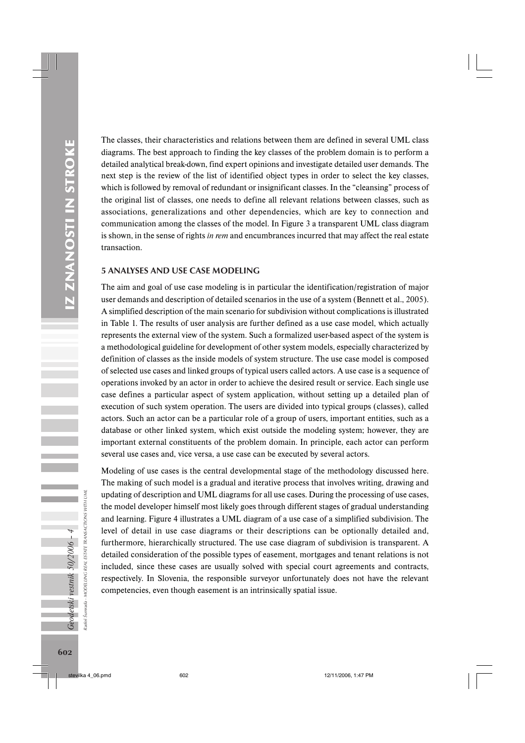The classes, their characteristics and relations between them are defined in several UML class diagrams. The best approach to finding the key classes of the problem domain is to perform a detailed analytical break-down, find expert opinions and investigate detailed user demands. The next step is the review of the list of identified object types in order to select the key classes, which is followed by removal of redundant or insignificant classes. In the "cleansing" process of the original list of classes, one needs to define all relevant relations between classes, such as associations, generalizations and other dependencies, which are key to connection and communication among the classes of the model. In Figure 3 a transparent UML class diagram is shown, in the sense of rights *in rem* and encumbrances incurred that may affect the real estate transaction.

#### 5 ANALYSES AND USE CASE MODELING

The aim and goal of use case modeling is in particular the identification/registration of major user demands and description of detailed scenarios in the use of a system (Bennett et al., 2005). A simplified description of the main scenario for subdivision without complications is illustrated in Table 1. The results of user analysis are further defined as a use case model, which actually represents the external view of the system. Such a formalized user-based aspect of the system is a methodological guideline for development of other system models, especially characterized by definition of classes as the inside models of system structure. The use case model is composed of selected use cases and linked groups of typical users called actors. A use case is a sequence of operations invoked by an actor in order to achieve the desired result or service. Each single use case defines a particular aspect of system application, without setting up a detailed plan of execution of such system operation. The users are divided into typical groups (classes), called actors. Such an actor can be a particular role of a group of users, important entities, such as a database or other linked system, which exist outside the modeling system; however, they are important external constituents of the problem domain. In principle, each actor can perform several use cases and, vice versa, a use case can be executed by several actors.

Modeling of use cases is the central developmental stage of the methodology discussed here. The making of such model is a gradual and iterative process that involves writing, drawing and updating of description and UML diagrams for all use cases. During the processing of use cases, the model developer himself most likely goes through different stages of gradual understanding and learning. Figure 4 illustrates a UML diagram of a use case of a simplified subdivision. The level of detail in use case diagrams or their descriptions can be optionally detailed and, furthermore, hierarchically structured. The use case diagram of subdivision is transparent. A detailed consideration of the possible types of easement, mortgages and tenant relations is not included, since these cases are usually solved with special court agreements and contracts, respectively. In Slovenia, the responsible surveyor unfortunately does not have the relevant competencies, even though easement is an intrinsically spatial issue.

Radoš Šumrada - MODELLING REAL ESTATE TRANSACTIONS WITH UML

adoš Šumrada -

Geodetski vestnik 50/2006 - 4

MODELING REAL ESTATE TRANSACTIONS WITH UML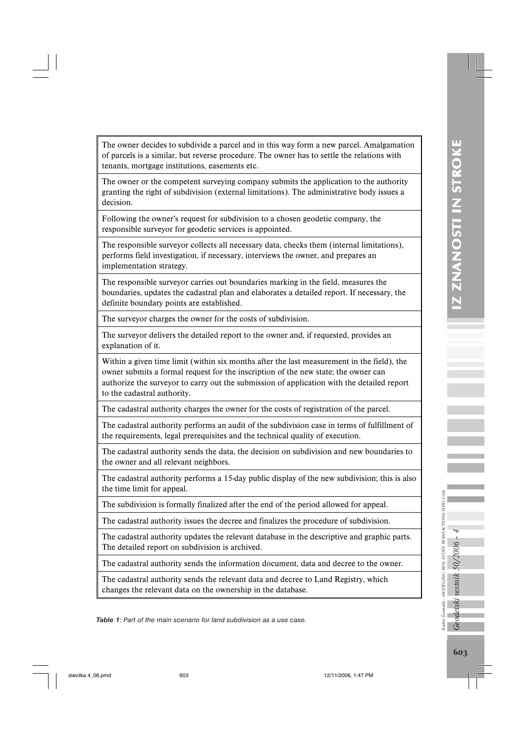The owner decides to subdivide a parcel and in this way form a new parcel. Amalgamation of parcels is a similar, but reverse procedure. The owner has to settle the relations with tenants, mortgage institutions, easements etc.

The owner or the competent surveying company submits the application to the authority granting the right of subdivision (external limitations). The administrative body issues a decision.

Following the owner's request for subdivision to a chosen geodetic company, the responsible surveyor for geodetic services is appointed.

The responsible surveyor collects all necessary data, checks them (internal limitations), performs field investigation, if necessary, interviews the owner, and prepares an implementation strategy.

The responsible surveyor carries out boundaries marking in the field, measures the boundaries, updates the cadastral plan and elaborates a detailed report. If necessary, the definite boundary points are established.

The surveyor charges the owner for the costs of subdivision.

The surveyor delivers the detailed report to the owner and, if requested, provides an explanation of it.

Within a given time limit (within six months after the last measurement in the field), the owner submits a formal request for the inscription of the new state; the owner can authorize the surveyor to carry out the submission of application with the detailed report to the cadastral authority.

The cadastral authority charges the owner for the costs of registration of the parcel.

The cadastral authority performs an audit of the subdivision case in terms of fulfillment of the requirements, legal prerequisites and the technical quality of execution.

The cadastral authority sends the data, the decision on subdivision and new boundaries to the owner and all relevant neighbors.

The cadastral authority performs a 15-day public display of the new subdivision; this is also the time limit for appeal.

The subdivision is formally finalized after the end of the period allowed for appeal.

The cadastral authority issues the decree and finalizes the procedure of subdivision.

The cadastral authority updates the relevant database in the descriptive and graphic parts. The detailed report on subdivision is archived.

The cadastral authority sends the information document, data and decree to the owner.

The cadastral authority sends the relevant data and decree to Land Registry, which changes the relevant data on the ownership in the database.

*Table 1: Part of the main scenario for land subdivision as a use case.*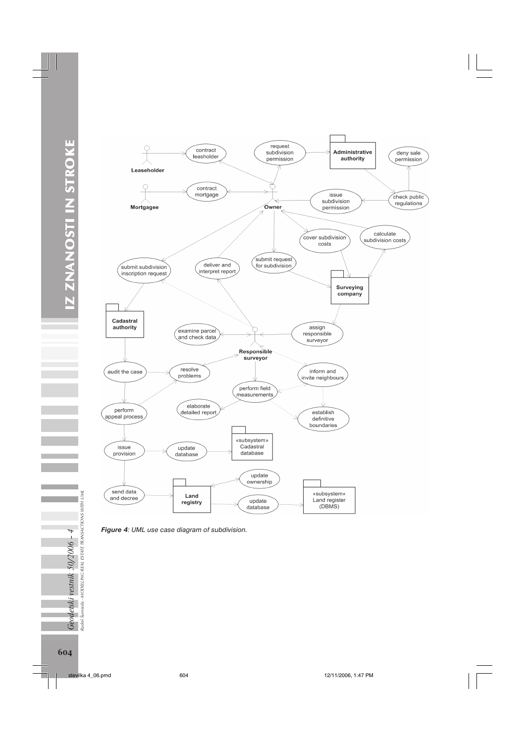

*Figure 4: UML use case diagram of subdivision.*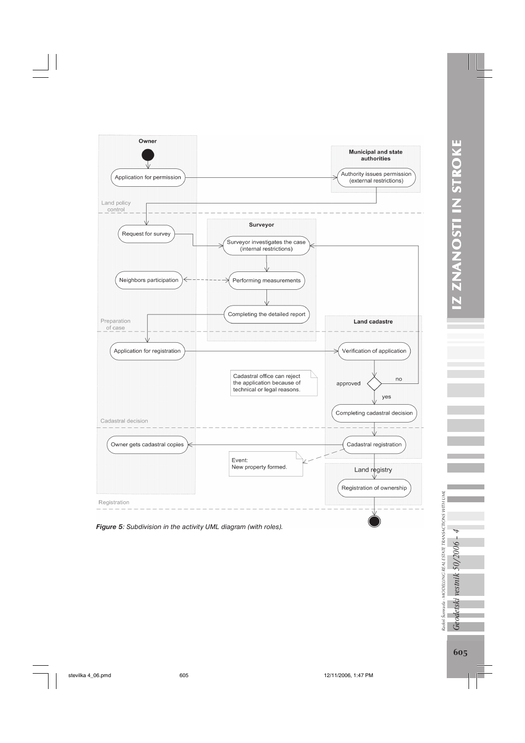

*Figure 5: Subdivision in the activity UML diagram (with roles).*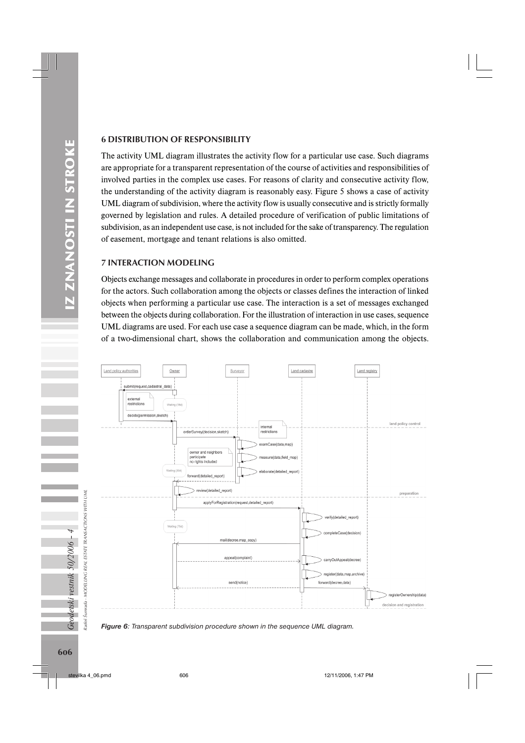### 6 DISTRIBUTION OF RESPONSIBILITY

The activity UML diagram illustrates the activity flow for a particular use case. Such diagrams are appropriate for a transparent representation of the course of activities and responsibilities of involved parties in the complex use cases. For reasons of clarity and consecutive activity flow, the understanding of the activity diagram is reasonably easy. Figure 5 shows a case of activity UML diagram of subdivision, where the activity flow is usually consecutive and is strictly formally governed by legislation and rules. A detailed procedure of verification of public limitations of subdivision, as an independent use case, is not included for the sake of transparency. The regulation of easement, mortgage and tenant relations is also omitted.

### 7 INTERACTION MODELING

Objects exchange messages and collaborate in procedures in order to perform complex operations for the actors. Such collaboration among the objects or classes defines the interaction of linked objects when performing a particular use case. The interaction is a set of messages exchanged between the objects during collaboration. For the illustration of interaction in use cases, sequence UML diagrams are used. For each use case a sequence diagram can be made, which, in the form of a two-dimensional chart, shows the collaboration and communication among the objects.





Geodetski vestnik 50/2006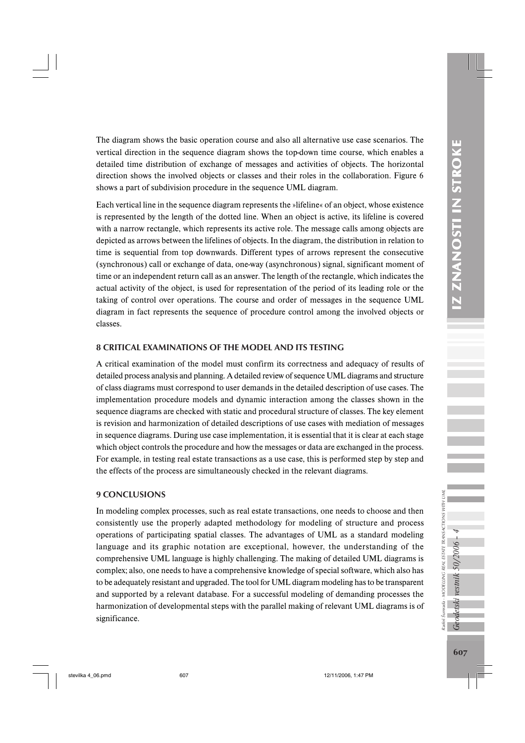The diagram shows the basic operation course and also all alternative use case scenarios. The vertical direction in the sequence diagram shows the top-down time course, which enables a detailed time distribution of exchange of messages and activities of objects. The horizontal direction shows the involved objects or classes and their roles in the collaboration. Figure 6 shows a part of subdivision procedure in the sequence UML diagram.

Each vertical line in the sequence diagram represents the »lifeline« of an object, whose existence is represented by the length of the dotted line. When an object is active, its lifeline is covered with a narrow rectangle, which represents its active role. The message calls among objects are depicted as arrows between the lifelines of objects. In the diagram, the distribution in relation to time is sequential from top downwards. Different types of arrows represent the consecutive (synchronous) call or exchange of data, one-way (asynchronous) signal, significant moment of time or an independent return call as an answer. The length of the rectangle, which indicates the actual activity of the object, is used for representation of the period of its leading role or the taking of control over operations. The course and order of messages in the sequence UML diagram in fact represents the sequence of procedure control among the involved objects or classes.

# 8 CRITICAL EXAMINATIONS OF THE MODEL AND ITS TESTING

A critical examination of the model must confirm its correctness and adequacy of results of detailed process analysis and planning. A detailed review of sequence UML diagrams and structure of class diagrams must correspond to user demands in the detailed description of use cases. The implementation procedure models and dynamic interaction among the classes shown in the sequence diagrams are checked with static and procedural structure of classes. The key element is revision and harmonization of detailed descriptions of use cases with mediation of messages in sequence diagrams. During use case implementation, it is essential that it is clear at each stage which object controls the procedure and how the messages or data are exchanged in the process. For example, in testing real estate transactions as a use case, this is performed step by step and the effects of the process are simultaneously checked in the relevant diagrams.

# 9 CONCLUSIONS

In modeling complex processes, such as real estate transactions, one needs to choose and then consistently use the properly adapted methodology for modeling of structure and process operations of participating spatial classes. The advantages of UML as a standard modeling language and its graphic notation are exceptional, however, the understanding of the comprehensive UML language is highly challenging. The making of detailed UML diagrams is complex; also, one needs to have a comprehensive knowledge of special software, which also has to be adequately resistant and upgraded. The tool for UML diagram modeling has to be transparent and supported by a relevant database. For a successful modeling of demanding processes the harmonization of developmental steps with the parallel making of relevant UML diagrams is of significance.

Radoš Šumrada - MODELLING REAL ESTATE TRANSACTIONS WITH UML

Geodetski vestnik 50/2006